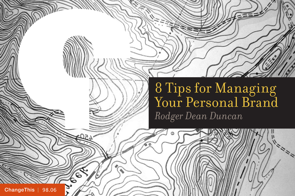8 Tips for Managing Your Personal Brand *Rodger Dean Duncan* 

60

[ChangeThis](http://changethis.com) | 98.06

໌ 6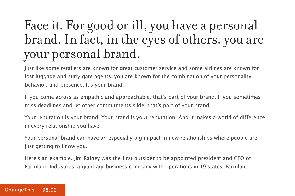## Face it. For good or ill, you have a personal brand. In fact, in the eyes of others, you are your personal brand.

Just like some retailers are known for great customer service and some airlines are known for lost luggage and surly gate agents, you are known for the combination of your personality, behavior, and presence. It's your brand.

If you come across as empathic and approachable, that's part of your brand. If you sometimes miss deadlines and let other commitments slide, that's part of your brand.

Your reputation is your brand. Your brand is your reputation. And it makes a world of difference in every relationship you have.

Your personal brand can have an especially big impact in new relationships where people are just getting to know you.

Here's an example. Jim Rainey was the first outsider to be appointed president and CEO of Farmland Industries, a giant agribusiness company with operations in 19 states. Farmland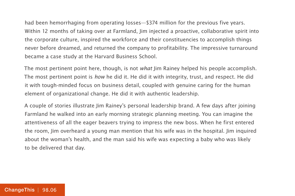had been hemorrhaging from operating losses—\$374 million for the previous five years. Within 12 months of taking over at Farmland, Jim injected a proactive, collaborative spirit into the corporate culture, inspired the workforce and their constituencies to accomplish things never before dreamed, and returned the company to profitability. The impressive turnaround became a case study at the Harvard Business School.

The most pertinent point here, though, is not *what* Jim Rainey helped his people accomplish. The most pertinent point is how he did it. He did it with integrity, trust, and respect. He did it with tough-minded focus on business detail, coupled with genuine caring for the human element of organizational change. He did it with authentic leadership.

A couple of stories illustrate Jim Rainey's personal leadership brand. A few days after joining Farmland he walked into an early morning strategic planning meeting. You can imagine the attentiveness of all the eager beavers trying to impress the new boss. When he first entered the room, Jim overheard a young man mention that his wife was in the hospital. Jim inquired about the woman's health, and the man said his wife was expecting a baby who was likely to be delivered that day.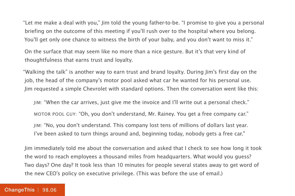"Let me make a deal with you," Jim told the young father-to-be. "I promise to give you a personal briefing on the outcome of this meeting if you'll rush over to the hospital where you belong. You'll get only one chance to witness the birth of your baby, and you don't want to miss it."

On the surface that may seem like no more than a nice gesture. But it's that very kind of thoughtfulness that earns trust and loyalty.

"Walking the talk" is another way to earn trust and brand loyalty. During Jim's first day on the job, the head of the company's motor pool asked what car he wanted for his personal use. Jim requested a simple Chevrolet with standard options. Then the conversation went like this:

JIM: "When the car arrives, just give me the invoice and I'll write out a personal check." MOTOR POOL GUY: "Oh, you don't understand, Mr. Rainey. You get a free company car." JIM: "No, you don't understand. This company lost tens of millions of dollars last year. I've been asked to turn things around and, beginning today, nobody gets a free car."

Jim immediately told me about the conversation and asked that I check to see how long it took the word to reach employees a thousand miles from headquarters. What would you guess? Two days? One day? It took less than 10 minutes for people several states away to get word of the new CEO's policy on executive privilege. (This was before the use of email.)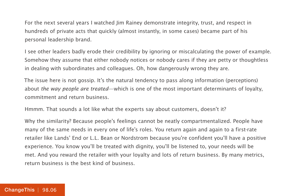For the next several years I watched Jim Rainey demonstrate integrity, trust, and respect in hundreds of private acts that quickly (almost instantly, in some cases) became part of his personal leadership brand.

I see other leaders badly erode their credibility by ignoring or miscalculating the power of example. Somehow they assume that either nobody notices or nobody cares if they are petty or thoughtless in dealing with subordinates and colleagues. Oh, how dangerously wrong they are.

The issue here is not gossip. It's the natural tendency to pass along information (perceptions) about the way people are treated—which is one of the most important determinants of loyalty, commitment and return business.

Hmmm. That sounds a lot like what the experts say about customers, doesn't it?

Why the similarity? Because people's feelings cannot be neatly compartmentalized. People have many of the same needs in every one of life's roles. You return again and again to a first-rate retailer like Lands' End or L.L. Bean or Nordstrom because you're confident you'll have a positive experience. You know you'll be treated with dignity, you'll be listened to, your needs will be met. And you reward the retailer with your loyalty and lots of return business. By many metrics, return business is the best kind of business.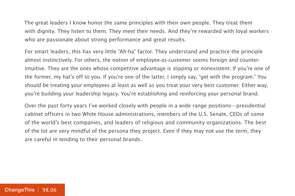The great leaders I know honor the same principles with their own people. They treat them with dignity. They listen to them. They meet their needs. And they're rewarded with loyal workers who are passionate about strong performance and great results.

For smart leaders, this has very little "Ah-ha" factor. They understand and practice the principle almost instinctively. For others, the notion of employee-as-customer seems foreign and counterintuitive. They are the ones whose competitive advantage is slipping or nonexistent. If you're one of the former, my hat's off to you. If you're one of the latter, I simply say, "get with the program." You should be treating your employees at least as well as you treat your very best customer. Either way, you're building your leadership legacy. You're establishing and reinforcing your personal brand.

Over the past forty years I've worked closely with people in a wide range positions—presidential cabinet officers in two White House administrations, members of the U.S. Senate, CEOs of some of the world's best companies, and leaders of religious and community organizations. The best of the lot are very mindful of the persona they project. Even if they may not use the term, they are careful in tending to their personal brands.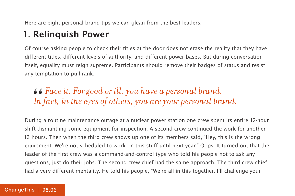Here are eight personal brand tips we can glean from the best leaders:

#### 1. **Relinquish Power**

Of course asking people to check their titles at the door does not erase the reality that they have different titles, different levels of authority, and different power bases. But during conversation itself, equality must reign supreme. Participants should remove their badges of status and resist any temptation to pull rank.

## *Face it. For good or ill, you have a personal brand. " In fact, in the eyes of others, you are your personal brand.*

During a routine maintenance outage at a nuclear power station one crew spent its entire 12-hour shift dismantling some equipment for inspection. A second crew continued the work for another 12 hours. Then when the third crew shows up one of its members said, "Hey, this is the wrong equipment. We're not scheduled to work on this stuff until next year." Oops! It turned out that the leader of the first crew was a command-and-control type who told his people not to ask any questions, just do their jobs. The second crew chief had the same approach. The third crew chief had a very different mentality. He told his people, "We're all in this together. I'll challenge your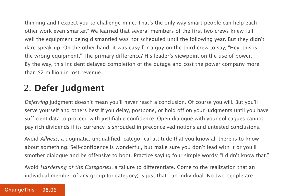thinking and I expect you to challenge mine. That's the only way smart people can help each other work even smarter." We learned that several members of the first two crews knew full well the equipment being dismantled was not scheduled until the following year. But they didn't dare speak up. On the other hand, it was easy for a guy on the third crew to say, "Hey, this is the wrong equipment." The primary difference? His leader's viewpoint on the use of power. By the way, this incident delayed completion of the outage and cost the power company more than \$2 million in lost revenue.

### 2. **Defer Judgment**

Deferring judgment doesn't mean you'll never reach a conclusion. Of course you will. But you'll serve yourself and others best if you delay, postpone, or hold off on your judgments until you have sufficient data to proceed with justifiable confidence. Open dialogue with your colleagues cannot pay rich dividends if its currency is shrouded in preconceived notions and untested conclusions.

Avoid Allness, a dogmatic, unqualified, categorical attitude that you know all there is to know about something. Self-confidence is wonderful, but make sure you don't lead with it or you'll smother dialogue and be offensive to boot. Practice saying four simple words: "I didn't know that."

Avoid Hardening of the Categories, a failure to differentiate. Come to the realization that an individual member of any group (or category) is just that—an individual. No two people are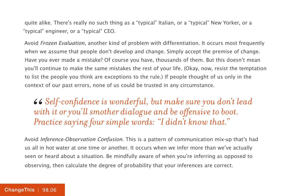quite alike. There's really no such thing as a "typical" Italian, or a "typical" New Yorker, or a "typical" engineer, or a "typical" CEO.

Avoid Frozen Evaluation, another kind of problem with differentiation. It occurs most frequently when we assume that people don't develop and change. Simply accept the premise of change. Have you ever made a mistake? Of course you have, thousands of them. But this doesn't mean you'll continue to make the same mistakes the rest of your life. (Okay, now, resist the temptation to list the people you think are exceptions to the rule.) If people thought of us only in the context of our past errors, none of us could be trusted in any circumstance.

*Self-confidence is wonderful, but make sure you don't lead with it or you'll smother dialogue and be offensive to boot. Practice saying four simple words: "I didn't know that."* 66<br>*wi*<br>*Pro* 

Avoid Inference-Observation Confusion. This is a pattern of communication mix-up that's had us all in hot water at one time or another. It occurs when we infer more than we've actually seen or heard about a situation. Be mindfully aware of when you're inferring as opposed to observing, then calculate the degree of probability that your inferences are correct.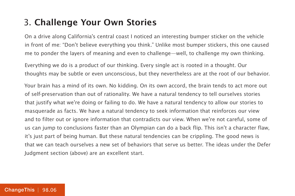#### 3. **Challenge Your Own Stories**

On a drive along California's central coast I noticed an interesting bumper sticker on the vehicle in front of me: "Don't believe everything you think." Unlike most bumper stickers, this one caused me to ponder the layers of meaning and even to challenge—well, to challenge my own thinking.

Everything we do is a product of our thinking. Every single act is rooted in a thought. Our thoughts may be subtle or even unconscious, but they nevertheless are at the root of our behavior.

Your brain has a mind of its own. No kidding. On its own accord, the brain tends to act more out of self-preservation than out of rationality. We have a natural tendency to tell ourselves stories that justify what we're doing or failing to do. We have a natural tendency to allow our stories to masquerade as facts. We have a natural tendency to seek information that reinforces our view and to filter out or ignore information that contradicts our view. When we're not careful, some of us can jump to conclusions faster than an Olympian can do a back flip. This isn't a character flaw, it's just part of being human. But these natural tendencies can be crippling. The good news is that we can teach ourselves a new set of behaviors that serve us better. The ideas under the Defer Judgment section (above) are an excellent start.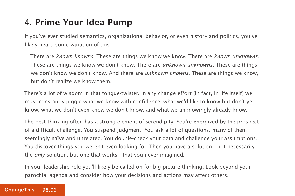#### 4. **Prime Your Idea Pump**

If you've ever studied semantics, organizational behavior, or even history and politics, you've likely heard some variation of this:

There are known knowns. These are things we know we know. There are known unknowns. These are things we know we don't know. There are *unknown unknowns*. These are things we don't know we don't know. And there are *unknown knowns*. These are things we know, but don't realize we know them.

There's a lot of wisdom in that tongue-twister. In any change effort (in fact, in life itself) we must constantly juggle what we know with confidence, what we'd like to know but don't yet know, what we don't even know we don't know, and what we unknowingly already know.

The best thinking often has a strong element of serendipity. You're energized by the prospect of a difficult challenge. You suspend judgment. You ask a lot of questions, many of them seemingly naïve and unrelated. You double-check your data and challenge your assumptions. You discover things you weren't even looking for. Then you have a solution—not necessarily the only solution, but one that works—that you never imagined.

In your leadership role you'll likely be called on for big-picture thinking. Look beyond your parochial agenda and consider how your decisions and actions may affect others.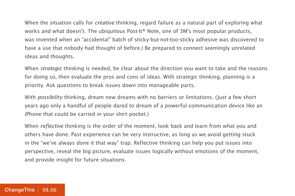When the situation calls for *creative* thinking, regard failure as a natural part of exploring what works and what doesn't. The ubiquitous Post-It® Note, one of 3M's most popular products, was invented when an "accidental" batch of sticky-but-not-too-sticky adhesive was discovered to have a use that nobody had thought of before.) Be prepared to connect seemingly unrelated ideas and thoughts.

When *strategic* thinking is needed, be clear about the direction you want to take and the reasons for doing so, then evaluate the pros and cons of ideas. With strategic thinking, planning is a priority. Ask questions to break issues down into manageable parts.

With *possibility* thinking, dream new dreams with no barriers or limitations. (Just a few short years ago only a handful of people dared to dream of a powerful communication device like an iPhone that could be carried in your shirt pocket.)

When *reflective* thinking is the order of the moment, look back and learn from what you and others have done. Past experience can be very instructive, as long as we avoid getting stuck in the "we've always done it that way" trap. Reflective thinking can help you put issues into perspective, reveal the big picture, evaluate issues logically without emotions of the moment, and provide insight for future situations.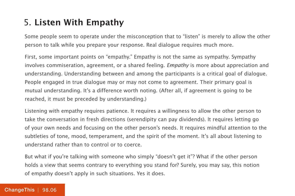#### 5. **Listen With Empathy**

Some people seem to operate under the misconception that to "listen" is merely to allow the other person to talk while you prepare your response. Real dialogue requires much more.

First, some important points on "empathy." Empathy is not the same as sympathy. Sympathy involves commiseration, agreement, or a shared feeling. *Empathy* is more about appreciation and understanding. Understanding between and among the participants is a critical goal of dialogue. People engaged in true dialogue may or may not come to agreement. Their primary goal is mutual understanding. It's a difference worth noting. (After all, if agreement is going to be reached, it must be preceded by understanding.)

Listening with empathy requires patience. It requires a willingness to allow the other person to take the conversation in fresh directions (serendipity can pay dividends). It requires letting go of your own needs and focusing on the other person's needs. It requires mindful attention to the subtleties of tone, mood, temperament, and the spirit of the moment. It's all about listening to understand rather than to control or to coerce.

But what if you're talking with someone who simply "doesn't get it"? What if the other person holds a view that seems contrary to everything you stand for? Surely, you may say, this notion of empathy doesn't apply in such situations. Yes it does.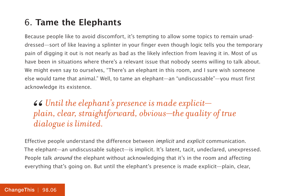#### 6. **Tame the Elephants**

Because people like to avoid discomfort, it's tempting to allow some topics to remain unaddressed—sort of like leaving a splinter in your finger even though logic tells you the temporary pain of digging it out is not nearly as bad as the likely infection from leaving it in. Most of us have been in situations where there's a relevant issue that nobody seems willing to talk about. We might even say to ourselves, "There's an elephant in this room, and I sure wish someone else would tame that animal." Well, to tame an elephant—an "undiscussable"—you must first acknowledge its existence.

*Until the elephant's presence is made explicit plain, clear, straightforward, obvious—the quality of true dialogue is limited.*  66<br>*plc*<br>die

Effective people understand the difference between implicit and explicit communication. The elephant—an undiscussable subject—is implicit. It's latent, tacit, undeclared, unexpressed. People talk *around* the elephant without acknowledging that it's in the room and affecting everything that's going on. But until the elephant's presence is made explicit—plain, clear,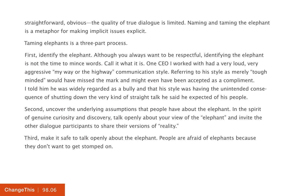straightforward, obvious—the quality of true dialogue is limited. Naming and taming the elephant is a metaphor for making implicit issues explicit.

Taming elephants is a three-part process.

First, identify the elephant. Although you always want to be respectful, identifying the elephant is not the time to mince words. Call it what it is. One CEO I worked with had a very loud, very aggressive "my way or the highway" communication style. Referring to his style as merely "tough minded" would have missed the mark and might even have been accepted as a compliment. I told him he was widely regarded as a bully and that his style was having the unintended consequence of shutting down the very kind of straight talk he said he expected of his people.

Second, uncover the underlying assumptions that people have about the elephant. In the spirit of genuine curiosity and discovery, talk openly about your view of the "elephant" and invite the other dialogue participants to share their versions of "reality."

Third, make it safe to talk openly about the elephant. People are afraid of elephants because they don't want to get stomped on.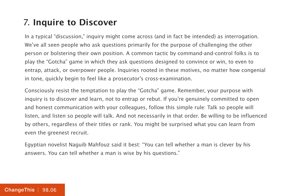#### 7. **Inquire to Discover**

In a typical "discussion," inquiry might come across (and in fact be intended) as interrogation. We've all seen people who ask questions primarily for the purpose of challenging the other person or bolstering their own position. A common tactic by command-and-control folks is to play the "Gotcha" game in which they ask questions designed to convince or win, to even to entrap, attack, or overpower people. Inquiries rooted in these motives, no matter how congenial in tone, quickly begin to feel like a prosecutor's cross-examination.

Consciously resist the temptation to play the "Gotcha" game. Remember, your purpose with inquiry is to discover and learn, not to entrap or rebut. If you're genuinely committed to open and honest communication with your colleagues, follow this simple rule: Talk so people will listen, and listen so people will talk. And not necessarily in that order. Be willing to be influenced by others, regardless of their titles or rank. You might be surprised what you can learn from even the greenest recruit.

Egyptian novelist Naguib Mahfouz said it best: "You can tell whether a man is clever by his answers. You can tell whether a man is wise by his questions."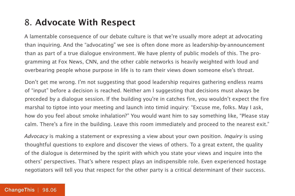#### 8. **Advocate With Respect**

A lamentable consequence of our debate culture is that we're usually more adept at advocating than inquiring. And the "advocating" we see is often done more as leadership-by-announcement than as part of a true dialogue environment. We have plenty of public models of this. The programming at Fox News, CNN, and the other cable networks is heavily weighted with loud and overbearing people whose purpose in life is to ram their views down someone else's throat.

Don't get me wrong. I'm not suggesting that good leadership requires gathering endless reams of "input" before a decision is reached. Neither am I suggesting that decisions must always be preceded by a dialogue session. If the building you're in catches fire, you wouldn't expect the fire marshal to tiptoe into your meeting and launch into timid inquiry: "Excuse me, folks. May I ask, how do you feel about smoke inhalation?" You would want him to say something like, "Please stay calm. There's a fire in the building. Leave this room immediately and proceed to the nearest exit."

Advocacy is making a statement or expressing a view about your own position. Inquiry is using thoughtful questions to explore and discover the views of others. To a great extent, the quality of the dialogue is determined by the spirit with which you state your views and inquire into the others' perspectives. That's where respect plays an indispensible role. Even experienced hostage negotiators will tell you that respect for the other party is a critical determinant of their success.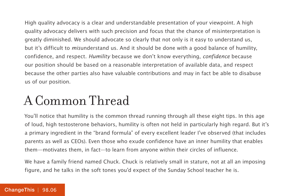High quality advocacy is a clear and understandable presentation of your viewpoint. A high quality advocacy delivers with such precision and focus that the chance of misinterpretation is greatly diminished. We should advocate so clearly that not only is it easy to understand us, but it's difficult to misunderstand us. And it should be done with a good balance of humility, confidence, and respect. Humility because we don't know everything, confidence because our position should be based on a reasonable interpretation of available data, and respect because the other parties also have valuable contributions and may in fact be able to disabuse us of our position.

## A Common Thread

You'll notice that humility is the common thread running through all these eight tips. In this age of loud, high testosterone behaviors, humility is often not held in particularly high regard. But it's a primary ingredient in the "brand formula" of every excellent leader I've observed (that includes parents as well as CEOs). Even those who exude confidence have an inner humility that enables them—motivates them, in fact—to learn from anyone within their circles of influence.

We have a family friend named Chuck. Chuck is relatively small in stature, not at all an imposing figure, and he talks in the soft tones you'd expect of the Sunday School teacher he is.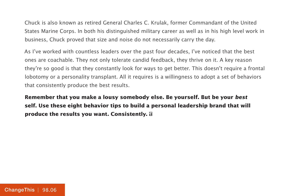Chuck is also known as retired General Charles C. Krulak, former Commandant of the United States Marine Corps. In both his distinguished military career as well as in his high level work in business, Chuck proved that size and noise do not necessarily carry the day.

As I've worked with countless leaders over the past four decades, I've noticed that the best ones are coachable. They not only tolerate candid feedback, they thrive on it. A key reason they're so good is that they constantly look for ways to get better. This doesn't require a frontal lobotomy or a personality transplant. All it requires is a willingness to adopt a set of behaviors that consistently produce the best results.

**Remember that you make a lousy somebody else. Be yourself. But be your best self. Use these eight behavior tips to build a personal leadership brand that will produce the results you want. Consistently.**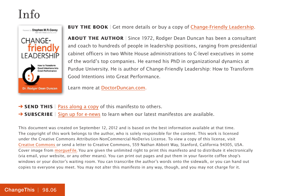### Info



**BUY THE BOOK** | Get more details or buy a copy of [Change-Friendly Leadership.](http://800ceoread.com/book/show/9780985213503)

**ABOUT THE AUTHOR** | Since 1972, Rodger Dean Duncan has been a consultant and coach to hundreds of people in leadership positions, ranging from presidential cabinet officers in two White House administrations to C-level executives in some of the world's top companies. He earned his PhD in organizational dynamics at Purdue University. He is author of Change-Friendly Leadership: How to Transform Good Intentions into Great Performance.

Learn more at [DoctorDuncan.com.](http://doctorduncan.com/)

- **→ SEND THIS** | [Pass along a copy](http://www.changethis.com/98.06.PersonalBrand/email) of this manifesto to others.
- **→ SUBSCRIBE** | Sign up fo[r e-news](http://changethis.com/page/show/e_mail_newsletter) to learn when our latest manifestos are available.

This document was created on September 12, 2012 and is based on the best information available at that time. The copyright of this work belongs to the author, who is solely responsible for the content. This work is licensed under the Creative Commons Attribution-NonCommercial-NoDerivs License. To view a copy of this license, visit [Creative Commons](http://creativecommons.org/licenses/by-nc-nd/2.0/) or send a letter to Creative Commons, 559 Nathan Abbott Way, Stanford, California 94305, USA. Cover image from [morgueFile](http://morguefile.com/)[.](http://www.veer.com/) You are given the unlimited right to print this manifesto and to distribute it electronically (via email, your website, or any other means). You can print out pages and put them in your favorite coffee shop's windows or your doctor's waiting room. You can transcribe the author's words onto the sidewalk, or you can hand out copies to everyone you meet. You may not alter this manifesto in any way, though, and you may not charge for it.